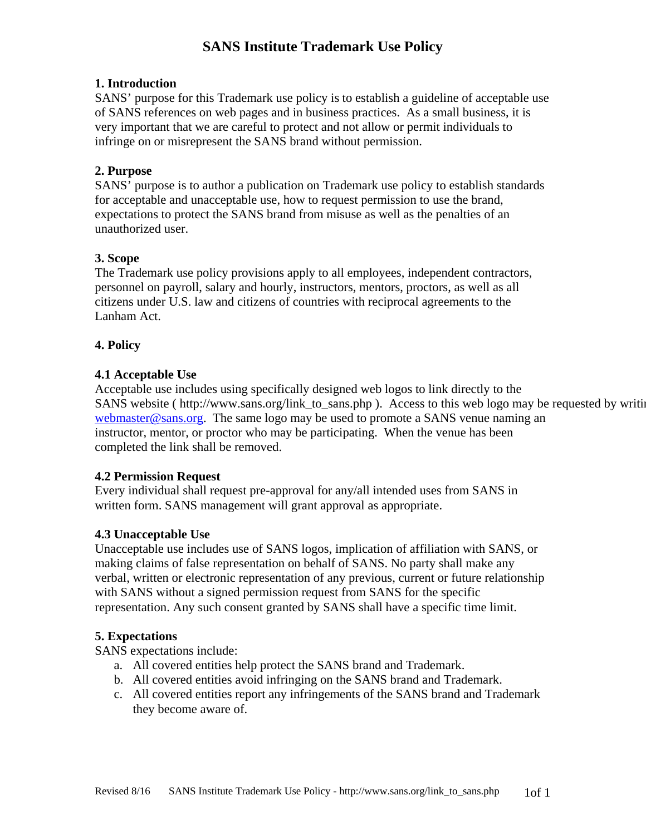# **SANS Institute Trademark Use Policy**

## **1. Introduction**

SANS' purpose for this Trademark use policy is to establish a guideline of acceptable use of SANS references on web pages and in business practices. As a small business, it is very important that we are careful to protect and not allow or permit individuals to infringe on or misrepresent the SANS brand without permission.

## **2. Purpose**

SANS' purpose is to author a publication on Trademark use policy to establish standards for acceptable and unacceptable use, how to request permission to use the brand, expectations to protect the SANS brand from misuse as well as the penalties of an unauthorized user.

## **3. Scope**

The Trademark use policy provisions apply to all employees, independent contractors, personnel on payroll, salary and hourly, instructors, mentors, proctors, as well as all citizens under U.S. law and citizens of countries with reciprocal agreements to the Lanham Act.

## **4. Policy**

## **4.1 Acceptable Use**

Acceptable use includes using specifically designed web logos to link directly to the SANS website ( http://www.sans.org/link\_to\_sans.php ). Access to this web logo may be requested by writing webmaster@sans.org. The same logo may be used to promote a SANS venue naming an instructor, mentor, or proctor who may be participating. When the venue has been completed the link shall be removed.

#### **4.2 Permission Request**

Every individual shall request pre-approval for any/all intended uses from SANS in written form. SANS management will grant approval as appropriate.

#### **4.3 Unacceptable Use**

Unacceptable use includes use of SANS logos, implication of affiliation with SANS, or making claims of false representation on behalf of SANS. No party shall make any verbal, written or electronic representation of any previous, current or future relationship with SANS without a signed permission request from SANS for the specific representation. Any such consent granted by SANS shall have a specific time limit.

#### **5. Expectations**

SANS expectations include:

- a. All covered entities help protect the SANS brand and Trademark.
- b. All covered entities avoid infringing on the SANS brand and Trademark.
- c. All covered entities report any infringements of the SANS brand and Trademark they become aware of.